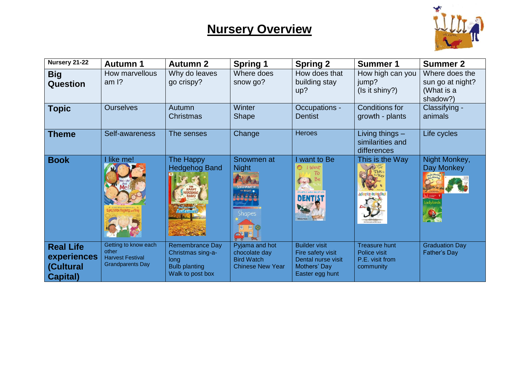

| Nursery 21-22                                                           | <b>Autumn 1</b>                                                                     | <b>Autumn 2</b>                                                                                 | <b>Spring 1</b>                                                                 | <b>Spring 2</b>                                                                                    | <b>Summer 1</b>                                                      | <b>Summer 2</b>                                              |
|-------------------------------------------------------------------------|-------------------------------------------------------------------------------------|-------------------------------------------------------------------------------------------------|---------------------------------------------------------------------------------|----------------------------------------------------------------------------------------------------|----------------------------------------------------------------------|--------------------------------------------------------------|
| <b>Big</b><br>Question                                                  | How marvellous<br>am $\frac{1}{2}$                                                  | Why do leaves<br>go crispy?                                                                     | Where does<br>snow go?                                                          | How does that<br>building stay<br>up?                                                              | How high can you<br>jump?<br>(Is it shiny?)                          | Where does the<br>sun go at night?<br>(What is a<br>shadow?) |
| <b>Topic</b>                                                            | <b>Ourselves</b>                                                                    | Autumn<br>Christmas                                                                             | Winter<br><b>Shape</b>                                                          | Occupations -<br><b>Dentist</b>                                                                    | <b>Conditions for</b><br>growth - plants                             | Classifying -<br>animals                                     |
| Theme                                                                   | Self-awareness                                                                      | The senses                                                                                      | Change                                                                          | <b>Heroes</b>                                                                                      | Living things $-$<br>similarities and<br>differences                 | Life cycles                                                  |
| <b>Book</b>                                                             | like me!                                                                            | The Happy<br><b>Hedgehog Band</b>                                                               | Snowmen at<br><b>Night</b><br>NOWME<br><b>Shapes</b><br>開<br><b>ALL</b>         | I want to Be<br>I Want<br>Tσ<br><b>DENTIST</b>                                                     | This is the Way                                                      | Night Monkey,<br>Day Monkey<br>Ladybird                      |
| <b>Real Life</b><br>experiences<br><b>(Cultural</b><br><b>Capital</b> ) | Getting to know each<br>other<br><b>Harvest Festival</b><br><b>Grandparents Day</b> | <b>Remembrance Day</b><br>Christmas sing-a-<br>long<br><b>Bulb planting</b><br>Walk to post box | Pyjama and hot<br>chocolate day<br><b>Bird Watch</b><br><b>Chinese New Year</b> | <b>Builder visit</b><br>Fire safety visit<br>Dental nurse visit<br>Mothers' Day<br>Easter egg hunt | <b>Treasure hunt</b><br>Police visit<br>P.E. visit from<br>community | <b>Graduation Day</b><br>Father's Day                        |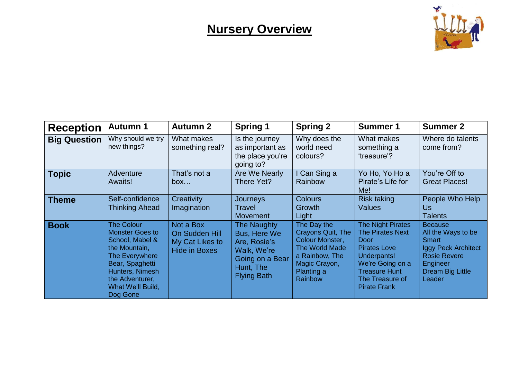

| <b>Reception</b>    | <b>Autumn 1</b>                                                                                                                                                                             | <b>Autumn 2</b>                                                        | <b>Spring 1</b>                                                                                                  | <b>Spring 2</b>                                                                                                                   | <b>Summer 1</b>                                                                                                                                                                         | <b>Summer 2</b>                                                                                                                                            |
|---------------------|---------------------------------------------------------------------------------------------------------------------------------------------------------------------------------------------|------------------------------------------------------------------------|------------------------------------------------------------------------------------------------------------------|-----------------------------------------------------------------------------------------------------------------------------------|-----------------------------------------------------------------------------------------------------------------------------------------------------------------------------------------|------------------------------------------------------------------------------------------------------------------------------------------------------------|
| <b>Big Question</b> | Why should we try<br>new things?                                                                                                                                                            | What makes<br>something real?                                          | Is the journey<br>as important as<br>the place you're<br>going to?                                               | Why does the<br>world need<br>colours?                                                                                            | What makes<br>something a<br>'treasure'?                                                                                                                                                | Where do talents<br>come from?                                                                                                                             |
| <b>Topic</b>        | Adventure<br>Awaits!                                                                                                                                                                        | That's not a<br>box                                                    | Are We Nearly<br>There Yet?                                                                                      | I Can Sing a<br>Rainbow                                                                                                           | Yo Ho, Yo Ho a<br>Pirate's Life for<br>Me!                                                                                                                                              | You're Off to<br><b>Great Places!</b>                                                                                                                      |
| <b>Theme</b>        | Self-confidence<br><b>Thinking Ahead</b>                                                                                                                                                    | Creativity<br>Imagination                                              | Journeys<br>Travel<br><b>Movement</b>                                                                            | <b>Colours</b><br>Growth<br>Light                                                                                                 | <b>Risk taking</b><br><b>Values</b>                                                                                                                                                     | People Who Help<br>Us<br><b>Talents</b>                                                                                                                    |
| <b>Book</b>         | <b>The Colour</b><br><b>Monster Goes to</b><br>School, Mabel &<br>the Mountain,<br>The Everywhere<br>Bear, Spaghetti<br>Hunters, Nimesh<br>the Adventurer,<br>What We'll Build,<br>Dog Gone | Not a Box<br>On Sudden Hill<br>My Cat Likes to<br><b>Hide in Boxes</b> | The Naughty<br>Bus, Here We<br>Are, Rosie's<br>Walk, We're<br>Going on a Bear<br>Hunt, The<br><b>Flying Bath</b> | The Day the<br>Crayons Quit, The<br>Colour Monster,<br>The World Made<br>a Rainbow, The<br>Magic Crayon,<br>Planting a<br>Rainbow | <b>The Night Pirates</b><br><b>The Pirates Next</b><br>Door<br><b>Pirates Love</b><br>Underpants!<br>We're Going on a<br><b>Treasure Hunt</b><br>The Treasure of<br><b>Pirate Frank</b> | <b>Because</b><br>All the Ways to be<br><b>Smart</b><br>Iggy Peck Architect<br><b>Rosie Revere</b><br><b>Engineer</b><br><b>Dream Big Little</b><br>Leader |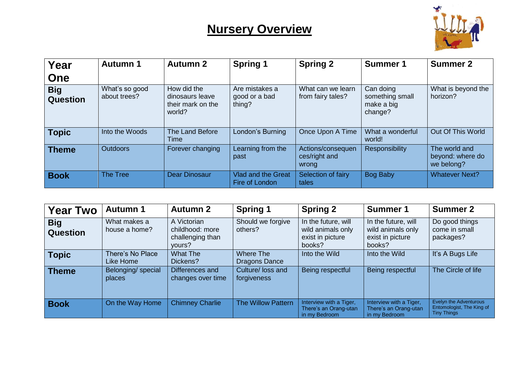

| Year                          | <b>Autumn 1</b>                | <b>Autumn 2</b>                                               | <b>Spring 1</b>                             | <b>Spring 2</b>                             | <b>Summer 1</b>                                       | <b>Summer 2</b>                                 |
|-------------------------------|--------------------------------|---------------------------------------------------------------|---------------------------------------------|---------------------------------------------|-------------------------------------------------------|-------------------------------------------------|
| One                           |                                |                                                               |                                             |                                             |                                                       |                                                 |
| <b>Big</b><br><b>Question</b> | What's so good<br>about trees? | How did the<br>dinosaurs leave<br>their mark on the<br>world? | Are mistakes a<br>good or a bad<br>thing?   | What can we learn<br>from fairy tales?      | Can doing<br>something small<br>make a big<br>change? | What is beyond the<br>horizon?                  |
| <b>Topic</b>                  | Into the Woods                 | The Land Before<br>Time                                       | London's Burning                            | Once Upon A Time                            | What a wonderful<br>world!                            | Out Of This World                               |
| Theme                         | <b>Outdoors</b>                | Forever changing                                              | Learning from the<br>past                   | Actions/consequen<br>ces/right and<br>wrong | Responsibility                                        | The world and<br>beyond: where do<br>we belong? |
| <b>Book</b>                   | The Tree                       | <b>Dear Dinosaur</b>                                          | <b>Vlad and the Great</b><br>Fire of London | Selection of fairy<br>tales                 | <b>Bog Baby</b>                                       | <b>Whatever Next?</b>                           |

| <b>Year Two</b>               | <b>Autumn 1</b>               | <b>Autumn 2</b>                                              | <b>Spring 1</b>                  | <b>Spring 2</b>                                                        | <b>Summer 1</b>                                                        | <b>Summer 2</b>                                                           |
|-------------------------------|-------------------------------|--------------------------------------------------------------|----------------------------------|------------------------------------------------------------------------|------------------------------------------------------------------------|---------------------------------------------------------------------------|
| <b>Big</b><br><b>Question</b> | What makes a<br>house a home? | A Victorian<br>childhood: more<br>challenging than<br>yours? | Should we forgive<br>others?     | In the future, will<br>wild animals only<br>exist in picture<br>books? | In the future, will<br>wild animals only<br>exist in picture<br>books? | Do good things<br>come in small<br>packages?                              |
| <b>Topic</b>                  | There's No Place<br>Like Home | <b>What The</b><br>Dickens?                                  | Where The<br>Dragons Dance       | Into the Wild                                                          | Into the Wild                                                          | It's A Bugs Life                                                          |
| <b>Theme</b>                  | Belonging/ special<br>places  | Differences and<br>changes over time                         | Culture/ loss and<br>forgiveness | Being respectful                                                       | Being respectful                                                       | The Circle of life                                                        |
| <b>Book</b>                   | On the Way Home               | <b>Chimney Charlie</b>                                       | The Willow Pattern               | Interview with a Tiger,<br>There's an Orang-utan<br>in my Bedroom      | Interview with a Tiger,<br>There's an Orang-utan<br>in my Bedroom      | Evelyn the Adventurous<br>Entomologist, The King of<br><b>Tiny Things</b> |